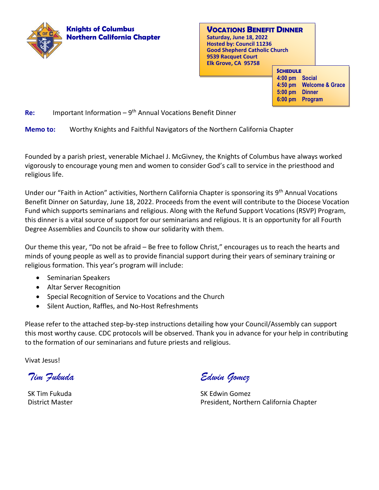

**VOCATIONS BENEFIT DINNER Saturday, June 18, 2022 Hosted by: Council 11236 Good Shepherd Catholic Church 9539 Racquet Court Elk Grove, CA 95758 SCHEDULE**

**4:00 pm Social 4:50 pm Welcome & Grace 5:00 pm Dinner 6:00 pm Program** 

Re: Important Information – 9<sup>th</sup> Annual Vocations Benefit Dinner

**Memo to:** Worthy Knights and Faithful Navigators of the Northern California Chapter

Founded by a parish priest, venerable Michael J. McGivney, the Knights of Columbus have always worked vigorously to encourage young men and women to consider God's call to service in the priesthood and religious life.

Under our "Faith in Action" activities, Northern California Chapter is sponsoring its 9<sup>th</sup> Annual Vocations Benefit Dinner on Saturday, June 18, 2022. Proceeds from the event will contribute to the Diocese Vocation Fund which supports seminarians and religious. Along with the Refund Support Vocations (RSVP) Program, this dinner is a vital source of support for our seminarians and religious. It is an opportunity for all Fourth Degree Assemblies and Councils to show our solidarity with them.

Our theme this year, "Do not be afraid – Be free to follow Christ," encourages us to reach the hearts and minds of young people as well as to provide financial support during their years of seminary training or religious formation. This year's program will include:

- Seminarian Speakers
- Altar Server Recognition
- Special Recognition of Service to Vocations and the Church
- Silent Auction, Raffles, and No-Host Refreshments

Please refer to the attached step-by-step instructions detailing how your Council/Assembly can support this most worthy cause. CDC protocols will be observed. Thank you in advance for your help in contributing to the formation of our seminarians and future priests and religious.

Vivat Jesus!

*Tim Fukuda Edwin Gomez*

SK Tim Fukuda SK Edwin Gomez District Master President, Northern California Chapter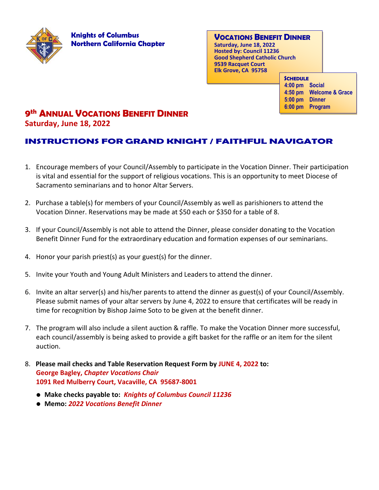

**Knights of Columbus Northern California Chapter**

**VOCATIONS BENEFIT DINNER Saturday, June 18, 2022 Hosted by: Council 11236 Good Shepherd Catholic Church 9539 Racquet Court Elk Grove, CA 95758**

**SCHEDULE 4:00 pm Social 4:50 pm Welcome & Grace 5:00 pm Dinner 6:00 pm Program** 

## **9 th ANNUAL VOCATIONS BENEFIT DINNER Saturday, June 18, 2022**

## **INSTRUCTIONS FOR GRAND KNIGHT / FAITHFUL NAVIGATOR**

- 1. Encourage members of your Council/Assembly to participate in the Vocation Dinner. Their participation is vital and essential for the support of religious vocations. This is an opportunity to meet Diocese of Sacramento seminarians and to honor Altar Servers.
- 2. Purchase a table(s) for members of your Council/Assembly as well as parishioners to attend the Vocation Dinner. Reservations may be made at \$50 each or \$350 for a table of 8.
- 3. If your Council/Assembly is not able to attend the Dinner, please consider donating to the Vocation Benefit Dinner Fund for the extraordinary education and formation expenses of our seminarians.
- 4. Honor your parish priest(s) as your guest(s) for the dinner.
- 5. Invite your Youth and Young Adult Ministers and Leaders to attend the dinner.
- 6. Invite an altar server(s) and his/her parents to attend the dinner as guest(s) of your Council/Assembly. Please submit names of your altar servers by June 4, 2022 to ensure that certificates will be ready in time for recognition by Bishop Jaime Soto to be given at the benefit dinner.
- 7. The program will also include a silent auction & raffle. To make the Vocation Dinner more successful, each council/assembly is being asked to provide a gift basket for the raffle or an item for the silent auction.
- 8. **Please mail checks and Table Reservation Request Form by JUNE 4, 2022 to: George Bagley,** *Chapter Vocations Chair* **1091 Red Mulberry Court, Vacaville, CA 95687-8001**
	- ⚫ **Make checks payable to:** *Knights of Columbus Council 11236*
	- ⚫ **Memo:** *2022 Vocations Benefit Dinner*